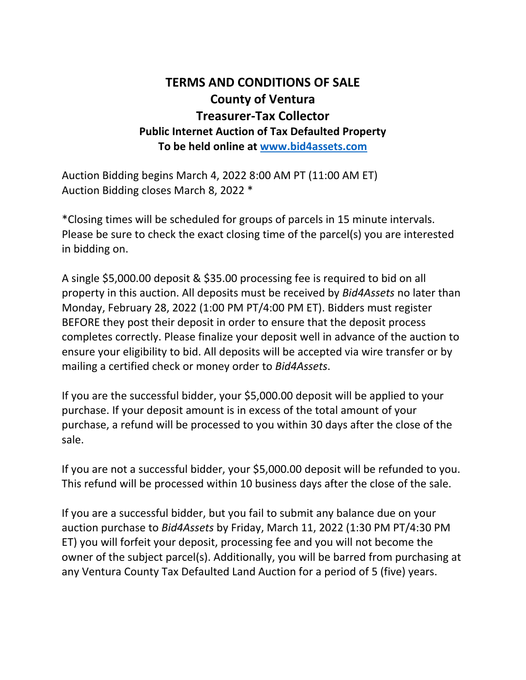### **TERMS AND CONDITIONS OF SALE County of Ventura Treasurer-Tax Collector Public Internet Auction of Tax Defaulted Property To be held online at [www.bid4assets.com](http://www.bid4assets.com/)**

Auction Bidding begins March 4, 2022 8:00 AM PT (11:00 AM ET) Auction Bidding closes March 8, 2022 \*

\*Closing times will be scheduled for groups of parcels in 15 minute intervals. Please be sure to check the exact closing time of the parcel(s) you are interested in bidding on.

A single \$5,000.00 deposit & \$35.00 processing fee is required to bid on all property in this auction. All deposits must be received by *Bid4Assets* no later than Monday, February 28, 2022 (1:00 PM PT/4:00 PM ET). Bidders must register BEFORE they post their deposit in order to ensure that the deposit process completes correctly. Please finalize your deposit well in advance of the auction to ensure your eligibility to bid. All deposits will be accepted via wire transfer or by mailing a certified check or money order to *Bid4Assets*.

If you are the successful bidder, your \$5,000.00 deposit will be applied to your purchase. If your deposit amount is in excess of the total amount of your purchase, a refund will be processed to you within 30 days after the close of the sale.

If you are not a successful bidder, your \$5,000.00 deposit will be refunded to you. This refund will be processed within 10 business days after the close of the sale.

If you are a successful bidder, but you fail to submit any balance due on your auction purchase to *Bid4Assets* by Friday, March 11, 2022 (1:30 PM PT/4:30 PM ET) you will forfeit your deposit, processing fee and you will not become the owner of the subject parcel(s). Additionally, you will be barred from purchasing at any Ventura County Tax Defaulted Land Auction for a period of 5 (five) years.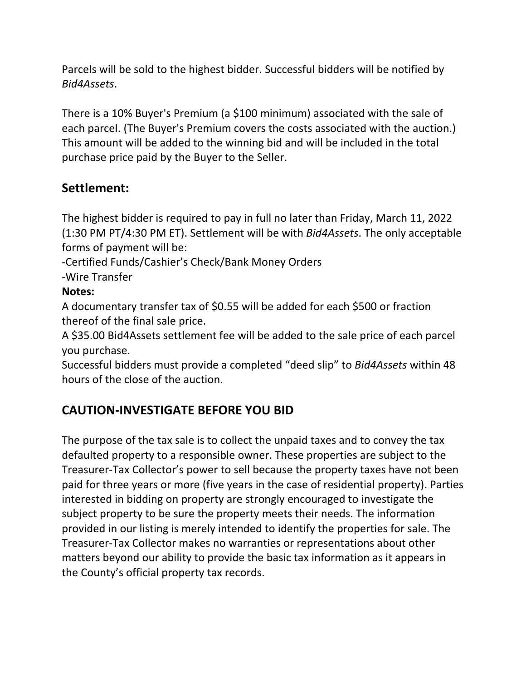Parcels will be sold to the highest bidder. Successful bidders will be notified by *Bid4Assets*.

There is a 10% Buyer's Premium (a \$100 minimum) associated with the sale of each parcel. (The Buyer's Premium covers the costs associated with the auction.) This amount will be added to the winning bid and will be included in the total purchase price paid by the Buyer to the Seller.

#### **Settlement:**

The highest bidder is required to pay in full no later than Friday, March 11, 2022 (1:30 PM PT/4:30 PM ET). Settlement will be with *Bid4Assets*. The only acceptable forms of payment will be:

-Certified Funds/Cashier's Check/Bank Money Orders

-Wire Transfer

#### **Notes:**

A documentary transfer tax of \$0.55 will be added for each \$500 or fraction thereof of the final sale price.

A \$35.00 Bid4Assets settlement fee will be added to the sale price of each parcel you purchase.

Successful bidders must provide a completed "deed slip" to *Bid4Assets* within 48 hours of the close of the auction.

### **CAUTION-INVESTIGATE BEFORE YOU BID**

The purpose of the tax sale is to collect the unpaid taxes and to convey the tax defaulted property to a responsible owner. These properties are subject to the Treasurer-Tax Collector's power to sell because the property taxes have not been paid for three years or more (five years in the case of residential property). Parties interested in bidding on property are strongly encouraged to investigate the subject property to be sure the property meets their needs. The information provided in our listing is merely intended to identify the properties for sale. The Treasurer-Tax Collector makes no warranties or representations about other matters beyond our ability to provide the basic tax information as it appears in the County's official property tax records.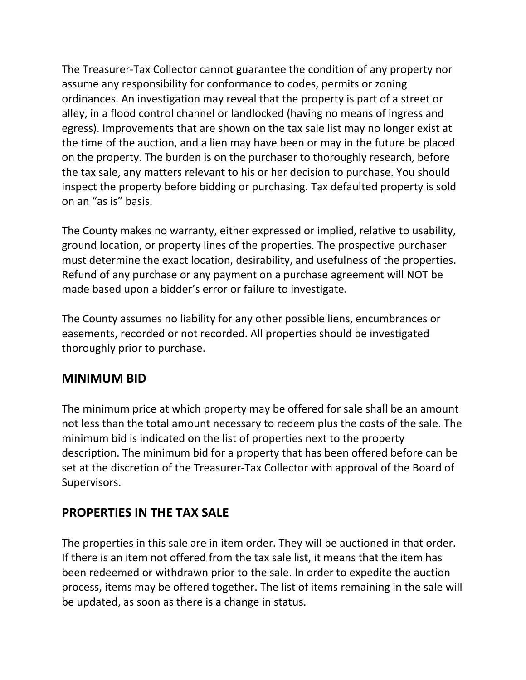The Treasurer-Tax Collector cannot guarantee the condition of any property nor assume any responsibility for conformance to codes, permits or zoning ordinances. An investigation may reveal that the property is part of a street or alley, in a flood control channel or landlocked (having no means of ingress and egress). Improvements that are shown on the tax sale list may no longer exist at the time of the auction, and a lien may have been or may in the future be placed on the property. The burden is on the purchaser to thoroughly research, before the tax sale, any matters relevant to his or her decision to purchase. You should inspect the property before bidding or purchasing. Tax defaulted property is sold on an "as is" basis.

The County makes no warranty, either expressed or implied, relative to usability, ground location, or property lines of the properties. The prospective purchaser must determine the exact location, desirability, and usefulness of the properties. Refund of any purchase or any payment on a purchase agreement will NOT be made based upon a bidder's error or failure to investigate.

The County assumes no liability for any other possible liens, encumbrances or easements, recorded or not recorded. All properties should be investigated thoroughly prior to purchase.

#### **MINIMUM BID**

The minimum price at which property may be offered for sale shall be an amount not less than the total amount necessary to redeem plus the costs of the sale. The minimum bid is indicated on the list of properties next to the property description. The minimum bid for a property that has been offered before can be set at the discretion of the Treasurer-Tax Collector with approval of the Board of Supervisors.

#### **PROPERTIES IN THE TAX SALE**

The properties in this sale are in item order. They will be auctioned in that order. If there is an item not offered from the tax sale list, it means that the item has been redeemed or withdrawn prior to the sale. In order to expedite the auction process, items may be offered together. The list of items remaining in the sale will be updated, as soon as there is a change in status.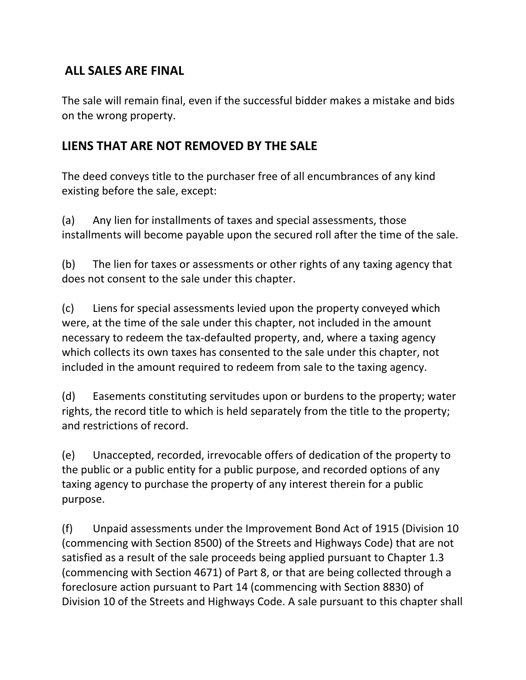#### **ALL SALES ARE FINAL**

The sale will remain final, even if the successful bidder makes a mistake and bids on the wrong property.

### **LIENS THAT ARE NOT REMOVED BY THE SALE**

The deed conveys title to the purchaser free of all encumbrances of any kind existing before the sale, except:

(a) Any lien for installments of taxes and special assessments, those installments will become payable upon the secured roll after the time of the sale.

(b) The lien for taxes or assessments or other rights of any taxing agency that does not consent to the sale under this chapter.

(c) Liens for special assessments levied upon the property conveyed which were, at the time of the sale under this chapter, not included in the amount necessary to redeem the tax-defaulted property, and, where a taxing agency which collects its own taxes has consented to the sale under this chapter, not included in the amount required to redeem from sale to the taxing agency.

(d) Easements constituting servitudes upon or burdens to the property; water rights, the record title to which is held separately from the title to the property; and restrictions of record.

(e) Unaccepted, recorded, irrevocable offers of dedication of the property to the public or a public entity for a public purpose, and recorded options of any taxing agency to purchase the property of any interest therein for a public purpose.

(f) Unpaid assessments under the Improvement Bond Act of 1915 (Division 10 (commencing with Section 8500) of the Streets and Highways Code) that are not satisfied as a result of the sale proceeds being applied pursuant to Chapter 1.3 (commencing with Section 4671) of Part 8, or that are being collected through a foreclosure action pursuant to Part 14 (commencing with Section 8830) of Division 10 of the Streets and Highways Code. A sale pursuant to this chapter shall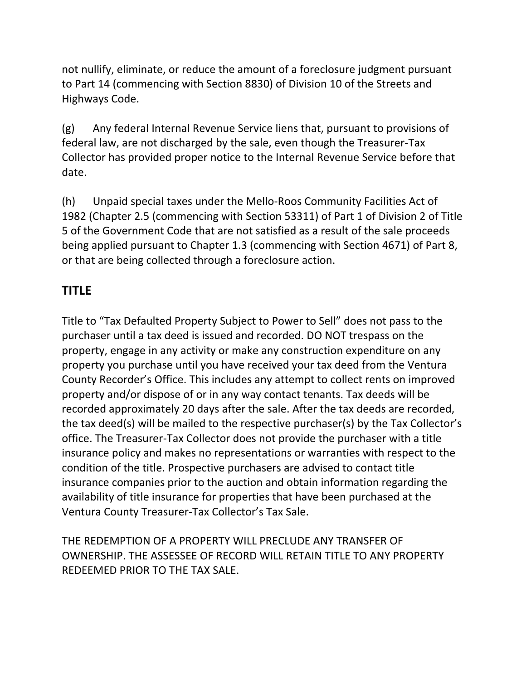not nullify, eliminate, or reduce the amount of a foreclosure judgment pursuant to Part 14 (commencing with Section 8830) of Division 10 of the Streets and Highways Code.

(g) Any federal Internal Revenue Service liens that, pursuant to provisions of federal law, are not discharged by the sale, even though the Treasurer-Tax Collector has provided proper notice to the Internal Revenue Service before that date.

(h) Unpaid special taxes under the Mello-Roos Community Facilities Act of 1982 (Chapter 2.5 (commencing with Section 53311) of Part 1 of Division 2 of Title 5 of the Government Code that are not satisfied as a result of the sale proceeds being applied pursuant to Chapter 1.3 (commencing with Section 4671) of Part 8, or that are being collected through a foreclosure action.

### **TITLE**

Title to "Tax Defaulted Property Subject to Power to Sell" does not pass to the purchaser until a tax deed is issued and recorded. DO NOT trespass on the property, engage in any activity or make any construction expenditure on any property you purchase until you have received your tax deed from the Ventura County Recorder's Office. This includes any attempt to collect rents on improved property and/or dispose of or in any way contact tenants. Tax deeds will be recorded approximately 20 days after the sale. After the tax deeds are recorded, the tax deed(s) will be mailed to the respective purchaser(s) by the Tax Collector's office. The Treasurer-Tax Collector does not provide the purchaser with a title insurance policy and makes no representations or warranties with respect to the condition of the title. Prospective purchasers are advised to contact title insurance companies prior to the auction and obtain information regarding the availability of title insurance for properties that have been purchased at the Ventura County Treasurer-Tax Collector's Tax Sale.

THE REDEMPTION OF A PROPERTY WILL PRECLUDE ANY TRANSFER OF OWNERSHIP. THE ASSESSEE OF RECORD WILL RETAIN TITLE TO ANY PROPERTY REDEEMED PRIOR TO THE TAX SALE.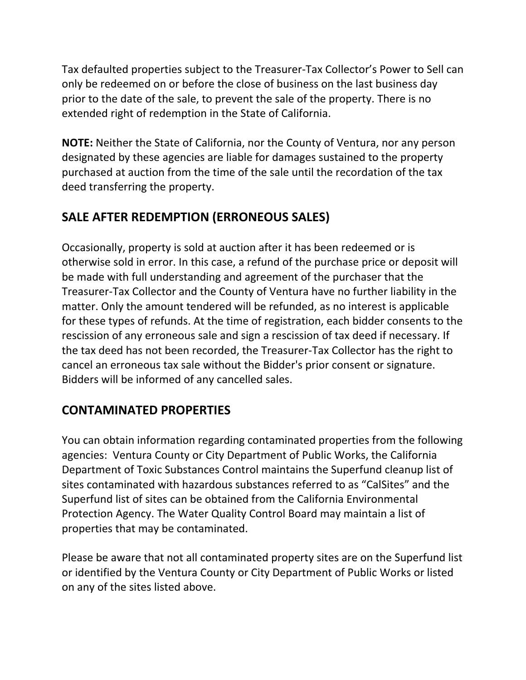Tax defaulted properties subject to the Treasurer-Tax Collector's Power to Sell can only be redeemed on or before the close of business on the last business day prior to the date of the sale, to prevent the sale of the property. There is no extended right of redemption in the State of California.

**NOTE:** Neither the State of California, nor the County of Ventura, nor any person designated by these agencies are liable for damages sustained to the property purchased at auction from the time of the sale until the recordation of the tax deed transferring the property.

## **SALE AFTER REDEMPTION (ERRONEOUS SALES)**

Occasionally, property is sold at auction after it has been redeemed or is otherwise sold in error. In this case, a refund of the purchase price or deposit will be made with full understanding and agreement of the purchaser that the Treasurer-Tax Collector and the County of Ventura have no further liability in the matter. Only the amount tendered will be refunded, as no interest is applicable for these types of refunds. At the time of registration, each bidder consents to the rescission of any erroneous sale and sign a rescission of tax deed if necessary. If the tax deed has not been recorded, the Treasurer-Tax Collector has the right to cancel an erroneous tax sale without the Bidder's prior consent or signature. Bidders will be informed of any cancelled sales.

## **CONTAMINATED PROPERTIES**

You can obtain information regarding contaminated properties from the following agencies: Ventura County or City Department of Public Works, the California Department of Toxic Substances Control maintains the Superfund cleanup list of sites contaminated with hazardous substances referred to as "CalSites" and the Superfund list of sites can be obtained from the California Environmental Protection Agency. The Water Quality Control Board may maintain a list of properties that may be contaminated.

Please be aware that not all contaminated property sites are on the Superfund list or identified by the Ventura County or City Department of Public Works or listed on any of the sites listed above.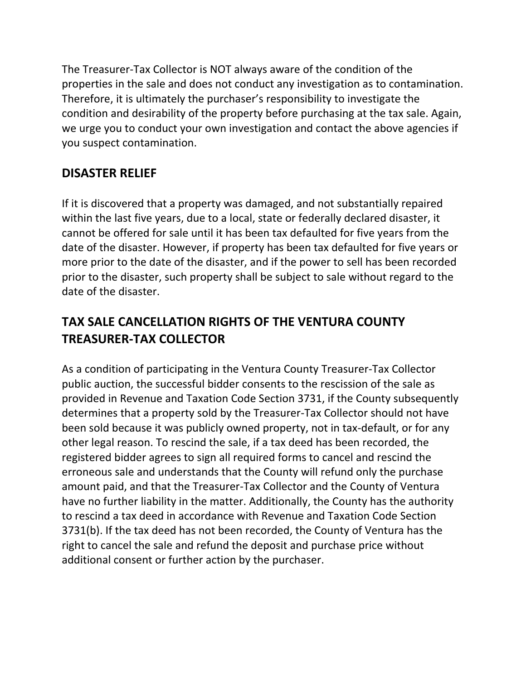The Treasurer-Tax Collector is NOT always aware of the condition of the properties in the sale and does not conduct any investigation as to contamination. Therefore, it is ultimately the purchaser's responsibility to investigate the condition and desirability of the property before purchasing at the tax sale. Again, we urge you to conduct your own investigation and contact the above agencies if you suspect contamination.

### **DISASTER RELIEF**

If it is discovered that a property was damaged, and not substantially repaired within the last five years, due to a local, state or federally declared disaster, it cannot be offered for sale until it has been tax defaulted for five years from the date of the disaster. However, if property has been tax defaulted for five years or more prior to the date of the disaster, and if the power to sell has been recorded prior to the disaster, such property shall be subject to sale without regard to the date of the disaster.

# **TAX SALE CANCELLATION RIGHTS OF THE VENTURA COUNTY TREASURER-TAX COLLECTOR**

As a condition of participating in the Ventura County Treasurer-Tax Collector public auction, the successful bidder consents to the rescission of the sale as provided in Revenue and Taxation Code Section 3731, if the County subsequently determines that a property sold by the Treasurer-Tax Collector should not have been sold because it was publicly owned property, not in tax-default, or for any other legal reason. To rescind the sale, if a tax deed has been recorded, the registered bidder agrees to sign all required forms to cancel and rescind the erroneous sale and understands that the County will refund only the purchase amount paid, and that the Treasurer-Tax Collector and the County of Ventura have no further liability in the matter. Additionally, the County has the authority to rescind a tax deed in accordance with Revenue and Taxation Code Section 3731(b). If the tax deed has not been recorded, the County of Ventura has the right to cancel the sale and refund the deposit and purchase price without additional consent or further action by the purchaser.